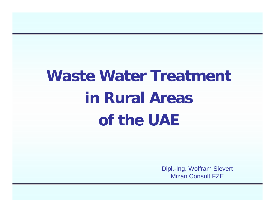# **Waste Water Treatment in Rural Areas of the UAE**

Dipl.-Ing. Wolfram Sievert Mizan Consult FZE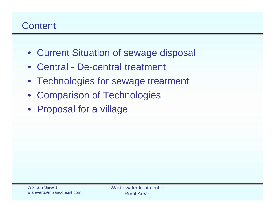# **Content**

- Current Situation of sewage disposal
- Central De-central treatment
- Technologies for sewage treatment
- $\bullet$ Comparison of Technologies
- Proposal for a village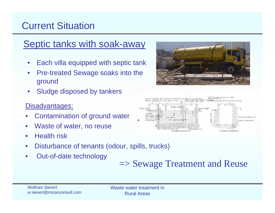# Current Situation

# Septic tanks with soak-away

- $\bullet$ Each villa equipped with septic tank
- $\bullet$  Pre-treated Sewage soaks into the ground
- $\bullet$ Sludge disposed by tankers

#### Disadvantages:

- •Contamination of ground water
- •Waste of water, no reuse
- $\bullet$ Health risk
- •Disturbance of tenants (odour, spills, trucks)
- •Out-of-date technology





# => Sewage Treatment and Reuse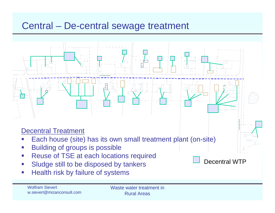#### Central – De-central sewage treatment

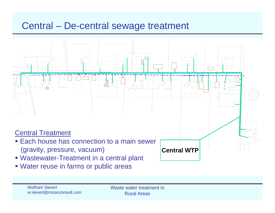### Central – De-central sewage treatment



Water reuse in farms or public areas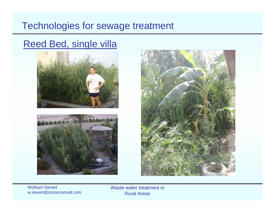#### Technologies for sewage treatment

# Reed Bed, single villa







Wolfram Sievertw.sievert@mizanconsult.com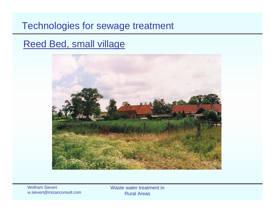#### Technologies for sewage treatment

### Reed Bed, small village



Wolfram Sievertw.sievert@mizanconsult.com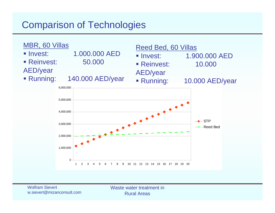# Comparison of Technologies

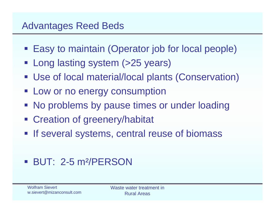### Advantages Reed Beds

- **Easy to maintain (Operator job for local people)**
- **Long lasting system (>25 years)**
- Use of local material/local plants (Conservation)
- **Example 1 Low or no energy consumption**
- **No problems by pause times or under loading**
- **Example 2 Creation of greenery/habitat**
- **If several systems, central reuse of biomass**

# BUT: 2-5 m²/PERSON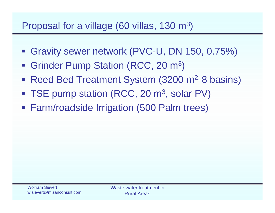## Proposal for a village (60 villas, 130 m3)

- Gravity sewer network (PVC-U, DN 150, 0.75%)
- Grinder Pump Station (RCC, 20 m<sup>3</sup>)
- Reed Bed Treatment System (3200 m<sup>2,</sup> 8 basins)
- TSE pump station (RCC, 20 m<sup>3</sup>, solar PV)
- Farm/roadside Irrigation (500 Palm trees)